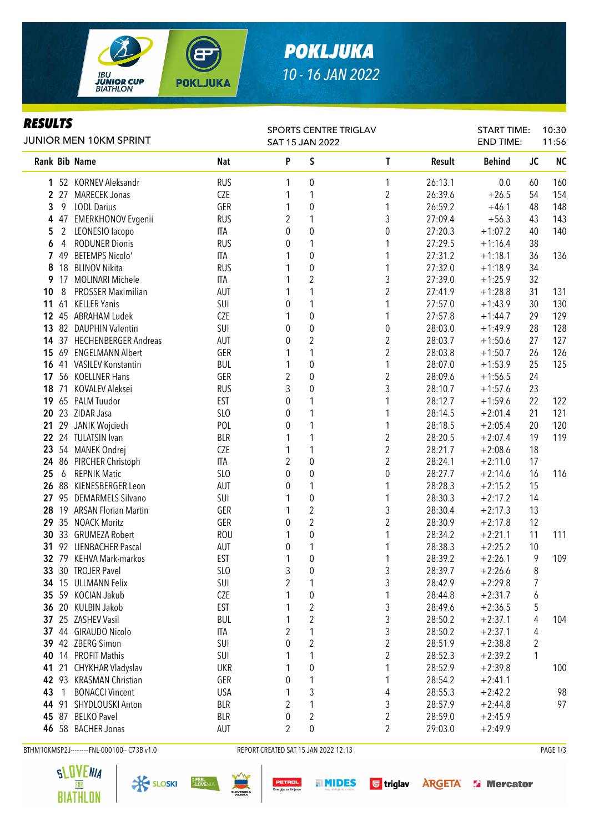

## *POKLJUKA 10 - 16 JAN 2022*

#### *RESULTS*

| JUNIOR MEN 10KM SPRINT |                |                           |                 | SAT 15 JAN 2022  |                         | SPORTS CENTRE TRIGLAV   |         | <b>START TIME:</b><br><b>END TIME:</b> |                         | 10:30<br>11:56 |  |
|------------------------|----------------|---------------------------|-----------------|------------------|-------------------------|-------------------------|---------|----------------------------------------|-------------------------|----------------|--|
|                        |                | Rank Bib Name             | <b>Nat</b>      | P                | S                       | $\mathsf T$             | Result  | <b>Behind</b>                          | <b>JC</b>               | <b>NC</b>      |  |
|                        |                | 1 52 KORNEV Aleksandr     | <b>RUS</b>      | 1                | 0                       | 1                       | 26:13.1 | 0.0                                    | 60                      | 160            |  |
|                        |                | 2 27 MARECEK Jonas        | CZE             | 1                | 1                       | $\boldsymbol{2}$        | 26:39.6 | $+26.5$                                | 54                      | 154            |  |
| 3                      | 9              | <b>LODL Darius</b>        | GER             | 1                | $\mathbf 0$             | 1                       | 26:59.2 | $+46.1$                                | 48                      | 148            |  |
| 4                      |                | 47 EMERKHONOV Evgenii     | <b>RUS</b>      | $\overline{2}$   | 1                       | 3                       | 27:09.4 | $+56.3$                                | 43                      | 143            |  |
| 5                      | $\overline{2}$ | LEONESIO lacopo           | <b>ITA</b>      | 0                | $\mathbf 0$             | 0                       | 27:20.3 | $+1:07.2$                              | 40                      | 140            |  |
| 6                      | 4              | <b>RODUNER Dionis</b>     | <b>RUS</b>      | 0                | 1                       | 1                       | 27:29.5 | $+1:16.4$                              | 38                      |                |  |
|                        | 7 49           | <b>BETEMPS Nicolo'</b>    | ITA             |                  | $\pmb{0}$               | 1                       | 27:31.2 | $+1:18.1$                              | 36                      | 136            |  |
| 8                      | 18             | <b>BLINOV Nikita</b>      | <b>RUS</b>      |                  | $\pmb{0}$               | 1                       | 27:32.0 | $+1:18.9$                              | 34                      |                |  |
| 9                      |                | 17 MOLINARI Michele       | <b>ITA</b>      |                  | $\sqrt{2}$              | 3                       | 27:39.0 | $+1:25.9$                              | 32                      |                |  |
| 10                     | 8              | <b>PROSSER Maximilian</b> | <b>AUT</b>      |                  | 1                       | $\overline{c}$          | 27:41.9 | $+1:28.8$                              | 31                      | 131            |  |
| 11                     | 61             | <b>KELLER Yanis</b>       | SUI             | 0                | 1                       | 1                       | 27:57.0 | $+1:43.9$                              | 30                      | 130            |  |
| 12                     |                | 45 ABRAHAM Ludek          | CZE             |                  | $\boldsymbol{0}$        | 1                       | 27:57.8 | $+1:44.7$                              | 29                      | 129            |  |
| 13                     |                | 82 DAUPHIN Valentin       | SUI             | 0                | $\pmb{0}$               | $\boldsymbol{0}$        | 28:03.0 | $+1:49.9$                              | 28                      | 128            |  |
| 14                     |                | 37 HECHENBERGER Andreas   | <b>AUT</b>      | 0                | $\sqrt{2}$              | $\overline{c}$          | 28:03.7 | $+1:50.6$                              | 27                      | 127            |  |
| 15                     |                | 69 ENGELMANN Albert       | GER             |                  | 1                       | $\overline{c}$          | 28:03.8 | $+1:50.7$                              | 26                      | 126            |  |
| 16                     |                | 41 VASILEV Konstantin     | <b>BUL</b>      | 1                | $\mathbf 0$             | 1                       | 28:07.0 | $+1:53.9$                              | 25                      | 125            |  |
| 17                     |                | 56 KOELLNER Hans          | GER             | $\overline{2}$   | $\mathbf{0}$            | $\overline{\mathbf{c}}$ | 28:09.6 | $+1:56.5$                              | 24                      |                |  |
|                        | 18 71          | KOVALEV Aleksei           | <b>RUS</b>      | 3                | $\mathbf 0$             | 3                       | 28:10.7 | $+1:57.6$                              | 23                      |                |  |
| 19                     |                | 65 PALM Tuudor            | <b>EST</b>      | $\theta$         | 1                       | 1                       | 28:12.7 | $+1:59.6$                              | 22                      | 122            |  |
|                        |                | 20 23 ZIDAR Jasa          | SLO             | 0                | 1                       | 1                       | 28:14.5 | $+2:01.4$                              | 21                      | 121            |  |
| 21                     |                | 29 JANIK Wojciech         | POL             | 0                | 1                       | 1                       | 28:18.5 | $+2:05.4$                              | 20                      | 120            |  |
|                        |                | 22 24 TULATSIN Ivan       | <b>BLR</b>      | 1                | 1                       | $\overline{\mathbf{c}}$ | 28:20.5 | $+2:07.4$                              | 19                      | 119            |  |
| 23                     |                | 54 MANEK Ondrej           | CZE             | 1                | 1                       | $\overline{\mathbf{c}}$ | 28:21.7 | $+2:08.6$                              | 18                      |                |  |
|                        |                | 24 86 PIRCHER Christoph   | ITA             | $\overline{2}$   | $\mathbf 0$             | $\overline{\mathbf{c}}$ | 28:24.1 | $+2:11.0$                              | 17                      |                |  |
| 25                     | 6              | <b>REPNIK Matic</b>       | SLO             | 0                | $\mathbf 0$             | 0                       | 28:27.7 | $+2:14.6$                              | 16                      | 116            |  |
| 26                     |                | 88 KIENESBERGER Leon      | <b>AUT</b>      | 0                | 1                       | 1                       | 28:28.3 | $+2:15.2$                              | 15                      |                |  |
| 27                     |                | 95 DEMARMELS Silvano      | SUI             | 1                | $\boldsymbol{0}$        | 1                       | 28:30.3 | $+2:17.2$                              | 14                      |                |  |
| 28                     |                | 19 ARSAN Florian Martin   | GER             | 1                | $\sqrt{2}$              | 3                       | 28:30.4 | $+2:17.3$                              | 13                      |                |  |
|                        |                | 29 35 NOACK Moritz        | GER             | $\boldsymbol{0}$ | $\overline{2}$          | $\overline{\mathbf{c}}$ | 28:30.9 | $+2:17.8$                              | 12                      |                |  |
|                        |                | 30 33 GRUMEZA Robert      | <b>ROU</b>      | 1                | $\pmb{0}$               | 1                       | 28:34.2 | $+2:21.1$                              | 11                      | 111            |  |
|                        |                | 31 92 LIENBACHER Pascal   | <b>AUT</b>      | 0                | 1                       | 1                       | 28:38.3 | $+2:25.2$                              | 10                      |                |  |
|                        |                | 32 79 KEHVA Mark-markos   | <b>EST</b>      | 1                | $\pmb{0}$               | 1                       | 28:39.2 | $+2:26.1$                              | 9                       | 109            |  |
|                        |                | 33 30 TROJER Pavel        | SL <sub>O</sub> | 3                | $\pmb{0}$               | 3                       | 28:39.7 | $+2:26.6$                              | 8                       |                |  |
|                        |                | 34 15 ULLMANN Felix       | SUI             | $\overline{c}$   | 1                       | 3                       | 28:42.9 | $+2:29.8$                              | $\overline{7}$          |                |  |
|                        |                | 35 59 KOCIAN Jakub        | CZE             | 1                | $\pmb{0}$               | 1                       | 28:44.8 | $+2:31.7$                              | 6                       |                |  |
| 36                     |                | 20 KULBIN Jakob           | <b>EST</b>      |                  | $\overline{2}$          | 3                       | 28:49.6 | $+2:36.5$                              | 5                       |                |  |
| 37                     |                | 25 ZASHEV Vasil           | <b>BUL</b>      |                  | $\sqrt{2}$              | 3                       | 28:50.2 | $+2:37.1$                              | 4                       | 104            |  |
| 37                     |                | 44 GIRAUDO Nicolo         | ITA             | $\overline{2}$   | 1                       | 3                       | 28:50.2 | $+2:37.1$                              | 4                       |                |  |
|                        |                | 39 42 ZBERG Simon         | SUI             | $\theta$         | $\sqrt{2}$              | $\overline{c}$          | 28:51.9 | $+2:38.8$                              | $\overline{\mathbf{c}}$ |                |  |
| 40                     | 14             | <b>PROFIT Mathis</b>      | SUI             |                  | 1                       | $\overline{c}$          | 28:52.3 | $+2:39.2$                              | 1                       |                |  |
| 41                     | 21             | CHYKHAR Vladyslav         | <b>UKR</b>      |                  | $\boldsymbol{0}$        | 1                       | 28:52.9 | $+2:39.8$                              |                         | 100            |  |
|                        |                | 42 93 KRASMAN Christian   | GER             | 0                | 1                       | 1                       | 28:54.2 | $+2:41.1$                              |                         |                |  |
| 43                     | 1              | <b>BONACCI Vincent</b>    | <b>USA</b>      | 1                | 3                       | 4                       | 28:55.3 | $+2:42.2$                              |                         | 98             |  |
| 44                     |                | 91 SHYDLOUSKI Anton       | <b>BLR</b>      | $\overline{2}$   | 1                       | 3                       | 28:57.9 | $+2:44.8$                              |                         | 97             |  |
|                        | 45 87          | <b>BELKO Pavel</b>        | <b>BLR</b>      | 0                | $\overline{\mathbf{c}}$ | $\boldsymbol{2}$        | 28:59.0 | $+2:45.9$                              |                         |                |  |
|                        |                | 46 58 BACHER Jonas        | AUT             | $\overline{2}$   | 0                       | $\overline{\mathbf{c}}$ | 29:03.0 | $+2:49.9$                              |                         |                |  |

BTHM10KMSP2J---------FNL-000100-- C73B v1.0 REPORT CREATED SAT 15 JAN 2022 12:13 REPORT CREATED SAT 15 JAN 2022 12:13









**MIDES** 

**G** triglav **ARGETA S** Mercator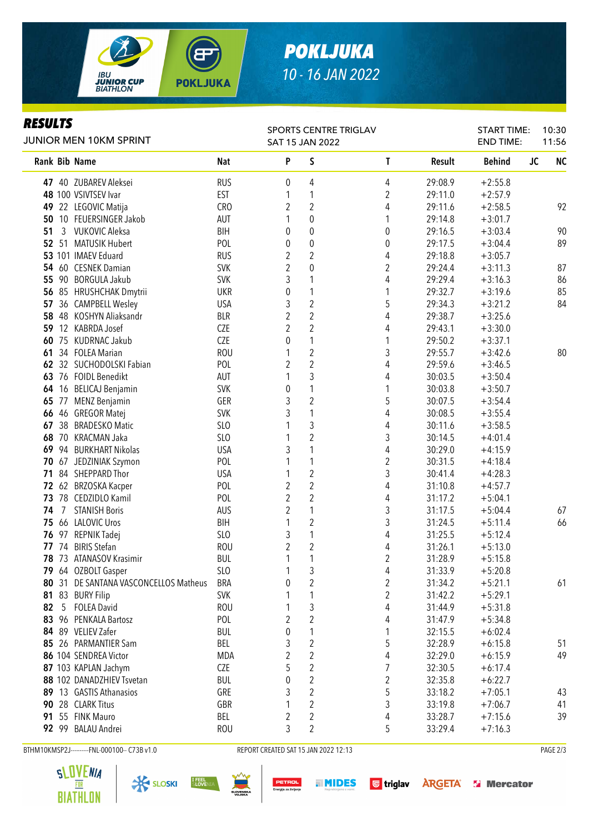

## *POKLJUKA 10 - 16 JAN 2022*

#### *RESULTS*

| Keyvliy<br><b>JUNIOR MEN 10KM SPRINT</b> |       |                                       | <b>SPORTS CENTRE TRIGLAV</b><br><b>SAT 15 JAN 2022</b> |                |                         |  |                         |                    | <b>START TIME:</b><br><b>END TIME:</b> |           | 10:30<br>11:56 |  |
|------------------------------------------|-------|---------------------------------------|--------------------------------------------------------|----------------|-------------------------|--|-------------------------|--------------------|----------------------------------------|-----------|----------------|--|
|                                          |       | Rank Bib Name                         | Nat                                                    | P              | S                       |  | T                       | Result             | <b>Behind</b>                          | <b>JC</b> | <b>NC</b>      |  |
|                                          |       | 47 40 ZUBAREV Aleksei                 | <b>RUS</b>                                             | 0              | 4                       |  | 4                       | 29:08.9            | $+2:55.8$                              |           |                |  |
|                                          |       | 48 100 VSIVTSEV Ivar                  | <b>EST</b>                                             | 1              | 1                       |  | 2                       | 29:11.0            | $+2:57.9$                              |           |                |  |
|                                          |       | 49 22 LEGOVIC Matija                  | <b>CRO</b>                                             | $\overline{2}$ | $\overline{2}$          |  | 4                       | 29:11.6            | $+2:58.5$                              |           | 92             |  |
| 50                                       |       | 10 FEUERSINGER Jakob                  | AUT                                                    |                | $\boldsymbol{0}$        |  | 1                       | 29:14.8            | $+3:01.7$                              |           |                |  |
| 51                                       | 3     | <b>VUKOVIC Aleksa</b>                 | <b>BIH</b>                                             | 0              | $\pmb{0}$               |  | $\boldsymbol{0}$        | 29:16.5            | $+3:03.4$                              |           | 90             |  |
| 52                                       |       | 51 MATUSIK Hubert                     | POL                                                    | 0              | $\pmb{0}$               |  | $\boldsymbol{0}$        | 29:17.5            | $+3:04.4$                              |           | 89             |  |
|                                          |       | 53 101 IMAEV Eduard                   | <b>RUS</b>                                             | $\overline{2}$ | $\overline{2}$          |  | 4                       | 29:18.8            | $+3:05.7$                              |           |                |  |
| 54                                       |       | 60 CESNEK Damian                      | <b>SVK</b>                                             | $\overline{2}$ | $\mathbf 0$             |  | $\overline{2}$          | 29:24.4            | $+3:11.3$                              |           | 87             |  |
| 55                                       |       | 90 BORGULA Jakub                      | <b>SVK</b>                                             | 3              | 1                       |  | $\overline{4}$          | 29:29.4            | $+3:16.3$                              |           | 86             |  |
| 56                                       |       | 85 HRUSHCHAK Dmytrii                  | <b>UKR</b>                                             | 0              | 1                       |  | 1                       | 29:32.7            | $+3:19.6$                              |           | 85             |  |
| 57                                       |       | 36 CAMPBELL Wesley                    | <b>USA</b>                                             | 3              | $\overline{2}$          |  | 5                       | 29:34.3            | $+3:21.2$                              |           | 84             |  |
| 58                                       |       | 48 KOSHYN Aliaksandr                  | <b>BLR</b>                                             | 2              | $\overline{2}$          |  | 4                       | 29:38.7            | $+3:25.6$                              |           |                |  |
| 59                                       |       | 12 KABRDA Josef                       | CZE                                                    | 2              | $\overline{2}$          |  | 4                       | 29:43.1            | $+3:30.0$                              |           |                |  |
| 60                                       |       | 75 KUDRNAC Jakub                      | <b>CZE</b>                                             | 0              | 1                       |  | 1                       | 29:50.2            | $+3:37.1$                              |           |                |  |
| 61                                       |       | 34 FOLEA Marian                       | <b>ROU</b>                                             |                | $\boldsymbol{2}$        |  | 3                       | 29:55.7            | $+3:42.6$                              |           | 80             |  |
| 62                                       |       | 32 SUCHODOLSKI Fabian                 | POL                                                    | $\overline{c}$ | $\overline{c}$          |  | 4                       | 29:59.6            | $+3:46.5$                              |           |                |  |
| 63                                       |       | 76 FOIDL Benedikt                     | AUT                                                    |                | 3                       |  | 4                       | 30:03.5            | $+3:50.4$                              |           |                |  |
| 64                                       |       | 16 BELICAJ Benjamin                   | <b>SVK</b>                                             | 0              | 1                       |  | 1                       | 30:03.8            | $+3:50.7$                              |           |                |  |
| 65                                       |       | 77 MENZ Benjamin                      | GER                                                    | 3              | $\overline{\mathbf{c}}$ |  | 5                       | 30:07.5            | $+3:54.4$                              |           |                |  |
|                                          | 66 46 | GREGOR Matej                          | <b>SVK</b>                                             | 3              | 1                       |  | 4                       | 30:08.5            | $+3:55.4$                              |           |                |  |
| 67                                       | 38    | <b>BRADESKO Matic</b>                 | SL <sub>0</sub>                                        |                | 3                       |  | 4                       | 30:11.6            | $+3:58.5$                              |           |                |  |
| 68                                       |       | 70 KRACMAN Jaka                       | SLO                                                    |                | $\overline{\mathbf{c}}$ |  | 3                       | 30:14.5            | $+4:01.4$                              |           |                |  |
| 69                                       |       | 94 BURKHART Nikolas                   | <b>USA</b>                                             | 3              | 1                       |  | 4                       | 30:29.0            | $+4:15.9$                              |           |                |  |
| 70                                       |       | 67 JEDZINIAK Szymon                   | POL                                                    |                | 1                       |  | $\overline{2}$          | 30:31.5            | $+4:18.4$                              |           |                |  |
|                                          |       | 71 84 SHEPPARD Thor                   | <b>USA</b>                                             |                | $\overline{\mathbf{c}}$ |  | 3                       | 30:41.4            | $+4:28.3$                              |           |                |  |
| 72                                       |       | 62 BRZOSKA Kacper                     | POL                                                    | $\sqrt{2}$     | $\overline{c}$          |  | 4                       | 31:10.8            | $+4:57.7$                              |           |                |  |
| 73                                       |       | 78 CEDZIDLO Kamil                     | POL                                                    | $\overline{2}$ | $\overline{c}$          |  | $\overline{4}$          | 31:17.2            | $+5:04.1$                              |           |                |  |
| 74                                       | 7     | <b>STANISH Boris</b>                  | AUS                                                    | $\overline{2}$ | 1                       |  | 3                       | 31:17.5            | $+5:04.4$                              |           | 67             |  |
| 75                                       |       | 66 LALOVIC Uros                       | <b>BIH</b>                                             | 1              | $\overline{c}$          |  | 3                       | 31:24.5            | $+5:11.4$                              |           | 66             |  |
| 76                                       |       | 97 REPNIK Tadej                       | SL <sub>0</sub>                                        | 3              | $\mathbf{1}$            |  | 4                       | 31:25.5            | $+5:12.4$                              |           |                |  |
|                                          |       | 77 74 BIRIS Stefan                    | <b>ROU</b>                                             | $\overline{2}$ | $\overline{2}$          |  | 4                       | 31:26.1            | $+5:13.0$                              |           |                |  |
|                                          |       | 78 73 ATANASOV Krasimir               | <b>BUL</b>                                             | 1              | 1                       |  | $\overline{2}$          | 31:28.9            | $+5:15.8$                              |           |                |  |
|                                          |       | 79 64 OZBOLT Gasper                   | SLO                                                    |                | 3                       |  | 4                       | 31:33.9            | $+5:20.8$                              |           |                |  |
|                                          |       | 80 31 DE SANTANA VASCONCELLOS Matheus | <b>BRA</b>                                             | 0<br>1         | $\boldsymbol{2}$<br>1   |  | $\overline{\mathbf{c}}$ | 31:34.2            | $+5:21.1$                              |           | 61             |  |
| 81                                       |       | 83 BURY Filip<br>5 FOLEA David        | <b>SVK</b>                                             | 1              |                         |  | 2                       | 31:42.2            | $+5:29.1$                              |           |                |  |
| 82                                       |       | 83 96 PENKALA Bartosz                 | <b>ROU</b><br>POL                                      | 2              | 3<br>$\overline{c}$     |  | 4                       | 31:44.9<br>31:47.9 | $+5:31.8$                              |           |                |  |
|                                          |       | 84 89 VELIEV Zafer                    | <b>BUL</b>                                             |                |                         |  | 4                       |                    | $+5:34.8$                              |           |                |  |
|                                          |       | 85 26 PARMANTIER Sam                  | BEL                                                    | 0<br>3         | 1<br>$\boldsymbol{2}$   |  | 1<br>5                  | 32:15.5<br>32:28.9 | $+6:02.4$<br>$+6:15.8$                 |           | 51             |  |
|                                          |       | 86 104 SENDREA Victor                 | <b>MDA</b>                                             | 2              | $\overline{2}$          |  | 4                       | 32:29.0            |                                        |           | 49             |  |
|                                          |       | 87 103 KAPLAN Jachym                  | <b>CZE</b>                                             | 5              | $\overline{2}$          |  | 7                       | 32:30.5            | $+6:15.9$<br>$+6:17.4$                 |           |                |  |
|                                          |       | 88 102 DANADZHIEV Tsvetan             | <b>BUL</b>                                             | 0              | $\overline{c}$          |  | $\overline{2}$          | 32:35.8            | $+6:22.7$                              |           |                |  |
|                                          |       | 89 13 GASTIS Athanasios               | GRE                                                    | 3              | $\overline{2}$          |  | 5                       | 33:18.2            | $+7:05.1$                              |           | 43             |  |
|                                          |       | 90 28 CLARK Titus                     | GBR                                                    | 1              | $\overline{2}$          |  | 3                       | 33:19.8            | $+7:06.7$                              |           | 41             |  |
|                                          |       | 91 55 FINK Mauro                      | BEL                                                    | $\overline{2}$ | $\overline{2}$          |  | 4                       | 33:28.7            | $+7:15.6$                              |           | 39             |  |
|                                          |       | 92 99 BALAU Andrei                    | <b>ROU</b>                                             | 3              | $\overline{2}$          |  | 5                       | 33:29.4            | $+7:16.3$                              |           |                |  |
|                                          |       |                                       |                                                        |                |                         |  |                         |                    |                                        |           |                |  |

BTHM10KMSP2J---------FNL-000100-- C73B v1.0 REPORT CREATED SAT 15 JAN 2022 12:13 REPORT CREATED SAT 15 JAN 2022 12:13







**MIDES** PETROL